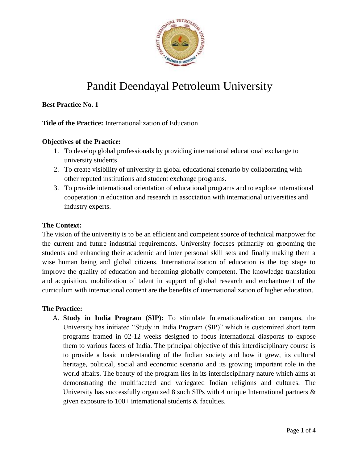

# Pandit Deendayal Petroleum University

# **Best Practice No. 1**

## **Title of the Practice:** Internationalization of Education

## **Objectives of the Practice:**

- 1. To develop global professionals by providing international educational exchange to university students
- 2. To create visibility of university in global educational scenario by collaborating with other reputed institutions and student exchange programs.
- 3. To provide international orientation of educational programs and to explore international cooperation in education and research in association with international universities and industry experts.

### **The Context:**

The vision of the university is to be an efficient and competent source of technical manpower for the current and future industrial requirements. University focuses primarily on grooming the students and enhancing their academic and inter personal skill sets and finally making them a wise human being and global citizens. Internationalization of education is the top stage to improve the quality of education and becoming globally competent. The knowledge translation and acquisition, mobilization of talent in support of global research and enchantment of the curriculum with international content are the benefits of internationalization of higher education.

### **The Practice:**

A. **Study in India Program (SIP):** To stimulate Internationalization on campus, the University has initiated "Study in India Program (SIP)" which is customized short term programs framed in 02-12 weeks designed to focus international diasporas to expose them to various facets of India. The principal objective of this interdisciplinary course is to provide a basic understanding of the Indian society and how it grew, its cultural heritage, political, social and economic scenario and its growing important role in the world affairs. The beauty of the program lies in its interdisciplinary nature which aims at demonstrating the multifaceted and variegated Indian religions and cultures. The University has successfully organized 8 such SIPs with 4 unique International partners & given exposure to 100+ international students & faculties.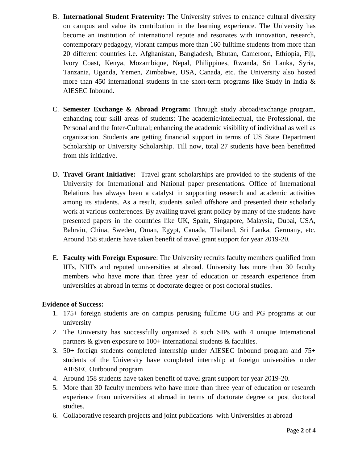- B. **International Student Fraternity:** The University strives to enhance cultural diversity on campus and value its contribution in the learning experience. The University has become an institution of international repute and resonates with innovation, research, contemporary pedagogy, vibrant campus more than 160 fulltime students from more than 20 different countries i.e. Afghanistan, Bangladesh, Bhutan, Cameroon, Ethiopia, Fiji, Ivory Coast, Kenya, Mozambique, Nepal, Philippines, Rwanda, Sri Lanka, Syria, Tanzania, Uganda, Yemen, Zimbabwe, USA, Canada, etc. the University also hosted more than 450 international students in the short-term programs like Study in India  $\&$ AIESEC Inbound.
- C. **Semester Exchange & Abroad Program:** Through study abroad/exchange program, enhancing four skill areas of students: The academic/intellectual, the Professional, the Personal and the Inter-Cultural; enhancing the academic visibility of individual as well as organization. Students are getting financial support in terms of US State Department Scholarship or University Scholarship. Till now, total 27 students have been benefitted from this initiative.
- D. **Travel Grant Initiative:** Travel grant scholarships are provided to the students of the University for International and National paper presentations. Office of International Relations has always been a catalyst in supporting research and academic activities among its students. As a result, students sailed offshore and presented their scholarly work at various conferences. By availing travel grant policy by many of the students have presented papers in the countries like UK, Spain, Singapore, Malaysia, Dubai, USA, Bahrain, China, Sweden, Oman, Egypt, Canada, Thailand, Sri Lanka, Germany, etc. Around 158 students have taken benefit of travel grant support for year 2019-20.
- E. **Faculty with Foreign Exposure**: The University recruits faculty members qualified from IITs, NIITs and reputed universities at abroad. University has more than 30 faculty members who have more than three year of education or research experience from universities at abroad in terms of doctorate degree or post doctoral studies.

# **Evidence of Success:**

- 1. 175+ foreign students are on campus perusing fulltime UG and PG programs at our university
- 2. The University has successfully organized 8 such SIPs with 4 unique International partners  $\&$  given exposure to 100+ international students  $\&$  faculties.
- 3. 50+ foreign students completed internship under AIESEC Inbound program and 75+ students of the University have completed internship at foreign universities under AIESEC Outbound program
- 4. Around 158 students have taken benefit of travel grant support for year 2019-20.
- 5. More than 30 faculty members who have more than three year of education or research experience from universities at abroad in terms of doctorate degree or post doctoral studies.
- 6. Collaborative research projects and joint publications with Universities at abroad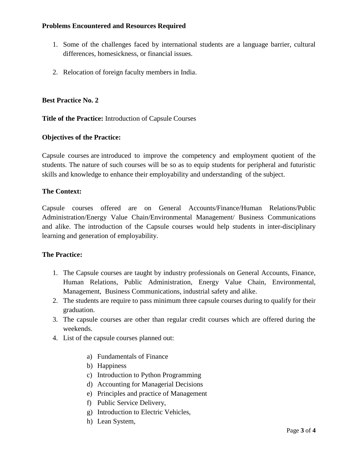## **Problems Encountered and Resources Required**

- 1. Some of the challenges faced by international students are a language barrier, cultural differences, homesickness, or financial issues.
- 2. Relocation of foreign faculty members in India.

### **Best Practice No. 2**

#### **Title of the Practice:** Introduction of Capsule Courses

#### **Objectives of the Practice:**

Capsule courses are introduced to improve the competency and employment quotient of the students. The nature of such courses will be so as to equip students for peripheral and futuristic skills and knowledge to enhance their employability and understanding of the subject.

#### **The Context:**

Capsule courses offered are on General Accounts/Finance/Human Relations/Public Administration/Energy Value Chain/Environmental Management/ Business Communications and alike. The introduction of the Capsule courses would help students in inter-disciplinary learning and generation of employability.

#### **The Practice:**

- 1. The Capsule courses are taught by industry professionals on General Accounts, Finance, Human Relations, Public Administration, Energy Value Chain, Environmental, Management, Business Communications, industrial safety and alike.
- 2. The students are require to pass minimum three capsule courses during to qualify for their graduation.
- 3. The capsule courses are other than regular credit courses which are offered during the weekends.
- 4. List of the capsule courses planned out:
	- a) Fundamentals of Finance
	- b) Happiness
	- c) Introduction to Python Programming
	- d) Accounting for Managerial Decisions
	- e) Principles and practice of Management
	- f) Public Service Delivery,
	- g) Introduction to Electric Vehicles,
	- h) Lean System,